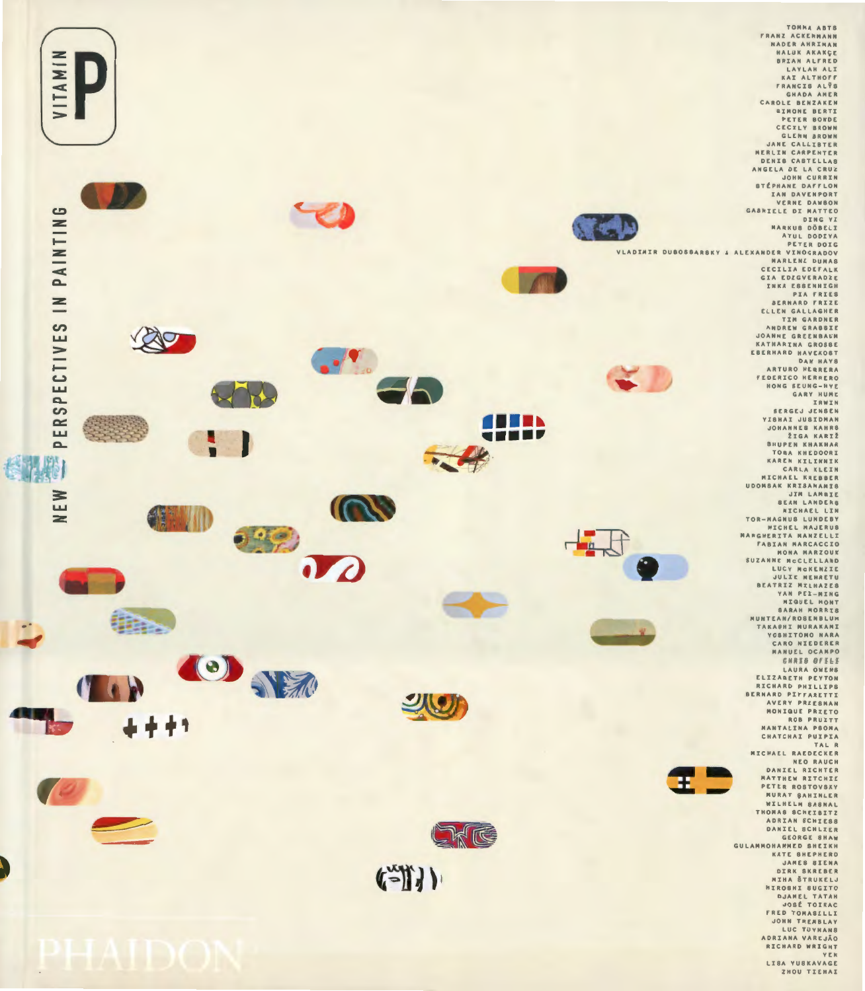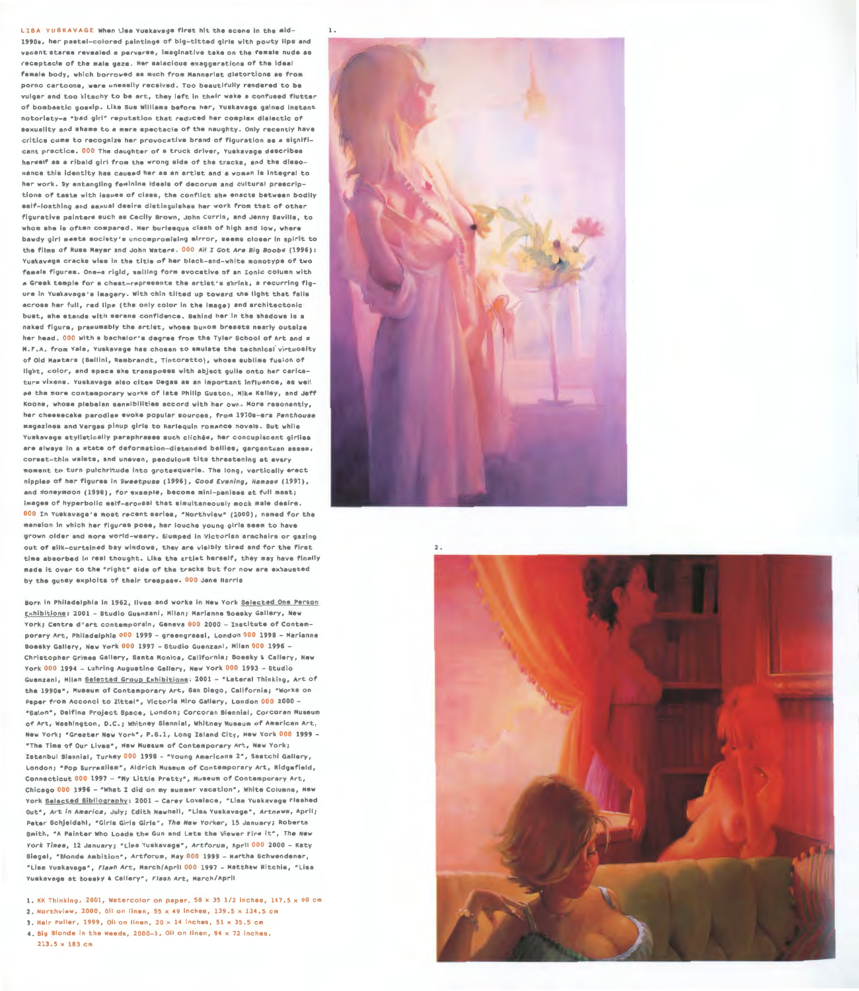LISA YUSKAVAGE When Lisa Yuskavage first hit the scene in the mid- 1. 1990s, her pastel-colored paintings of big-titted girls with pouty line and vacant stares revealed a perverse, imaginative take on the female nude as receptacle of the male gaze. Her salacious exaggerations of the ideal female body, which borrowed as much from Mannerist distortions as from porno cartoons, were uneasily received. Too beautifully rendered to be vulgar and too kitschy to be art, they left in their wake a confused flutter of bombastic gossip. Like Sue Williams before her, Yuskavage gained instant notoriety-a "bad girl" reputation that reduced her complex dialectic of sexuality and ahame to a mere spectacle of the naughty. Only recently have critics come to recognize her provocative brand of figuration as a significant practice . 000 The daughter of a truck driver, Yuskavage describes herself as a ribald girl from the wrong aide of the tracks, and the dissonance thia identity has caused her as an artist and a woman is integral to her work. By entangling feminine ideals of decorum and cultural prescriptions of taste with issues of class, the conflict she enacts between bodily self-loathing and sexual deaire diatinguiahes her work from that of other figurative painters such as Cecily Brown, John Currin, and Jenny Saville, to whom she is often compared. Her burlesque clash of high and low, where bawdy girl meets society's uncompromising mirror, seems closer in spirit to the films of Russ Meyer and John Waters. 000 All I Got Are Big Boobs (1996): Yuskavage cracks wise in the title of her black-and-white monotype of two female figures. One-a rigid, smiling form evocative of an Ionic column with a Greek temple for a chest-represents the artist ' s shrink, a recurring figure in Yuskavage' s imagery. With chin tilted up toward the light that falls across her full, red lips (the only color in the image) and architectonic buat, she stands with serene confidence. Behind her in the shadows is a naked figure, presumably the artist, whose buxom breasts nearly outsize her head. 000 With a bachelor's degree from the Tyler School of Art and a H.f .A. from Yale, Yuskavage has chosen to emulate the technical virtuosity of Old Mastera {Bellini, Rembrandt, Tintoretto), whose sublime fusion of light, color, and space she transposes with abject guile onto her caricature vixens. Yuekavage also cites Degas as an important influence, as well as the more contemporary works of late Philip Guston, Mike Kelley, and Jeff Koons, whose plebajan sensibilities accord with her own. More resonantly, her cheesecake parodies evoke popular sources, from 1970s-era Penthouse magazines and Vargas pinup girls to Harlequin romance novels . But while Yuskavage atyliatically paraphrases such clich6s, her concupiscent girlie& are always in a state of deformation-distended bellies, gargantuan asses, corset-thin waists, and uneven, pendulous tits threatening at every moment to turn pulchritude into grotesquerie. The long, vertically erect nipples of her figures in Sweetpuss (1996), Good Evening, Hamass (1997), and Honeymoon (1998), for example, become mini-penises at full mast; images of hyperbolic self-arousal that simultaneously mock mate desire. 000 In Yuskavage's most recent series, "Northview" (2000), named for the mansion in which her figures pose, her louche young girls seem to have grown older and more world-weary. Slumped in Victorian armchairs or gazing out of silk-curtained bay windows, they are visibly tired and for the first time absorbed in real thought. Like the artist herself, they may have finally made it over to the "right" side of the tracks but for now are exhausted by the gutsy exploits of their trespass. 000 Jane Harrie

Born in Philadelphia in 1962, lives and works in New York Selected One Person Exhibitions: 2001 - Studio Guenzani, Milan; Marianne Boesky Gallery, New York; Centre d'art contemporain, Geneva 000 2000 - Institute of Contemporary Art, Philadelphia 000 1999 - greengrasei, London 000 1998 - Marianne Boesky Gallery, New York 000 1997 - Studio Guenzani, Milan 000 1996 - Christopher Grimes Gallery, Santa Monica, California; Boesky & Callery, New York 000 1994 - Luhring Augustine Gallery, New York 000 1993 - Studio Guenzani, Milan Selected Group Exhibitions: 2001 - "Lateral Thinking, Art of the 1990s", Museum of Contemporary Art, San Diego, California; "Works on Paper from Acconci to Zittel", Victoria Miro Gallery, London 000 2000 -"'Salon", Delfina Project Space, London; Corcoran Biennial, Corcoran Museum of Art, Washington, o.c.; Whitney Biennial, Whitney Museum of American Art, New York; "Greater New York", P.S.1, Long Island City, New York 000 1999 -"The Time of Our Lives " , New Museum of Contemporary Art, New York; Istanbul Biennial, Turkey 000 1998 - "Young Americans 2", Saatchi Gallery, London; "Pop Surrealism", Aidrich Museum of Contemporary Art, Ridgefield, Connecticut 000 1997 - "Ny Little Pretty", Museum of Contemporary Art, Chicago 000 1996 - "What I did on my summer vacation", White Columns, New York Selected Bibliography: 2001 - Carey Lovelace, "Lisa Yuskavage Fleshed Out", Art in America, July; Edith Newhall, "Lisa Yuskavage", Artnews, April; Peter Schjeldahl, "Girls Girls Girls", The New Yorker, 15 January; Roberta Bmith, "A Painter Who Loads the Gun and Lets the Viewer Fire it", The New York Times, 12 January; "Lisa Yuskavage", Artforum, April 000 2000 - Katy Biegel, "Blonde Ambition", Artforum, May 000 1999 - Martha Schwendener, " Lisa Yuskavage•, Flash Art, March/April 000 1997 - Matthew Ritchie, " Lisa Yuskavage at Boesky & Callery", Flash Art, March/April

1. KK Thinking, 2001, Watercolor on paper,  $58 \times 35$  1/2 inches,  $147.5 \times 90$  cm

- 2. Northview, 2000, Oil on linen, 55 x 49 inches, 139.5 x 124.5 cm
- 3. Hair Puller, 1999, Oil on linen,  $20 \times 14$  inches,  $51 \times 35.5$  cm
- 4. Big Blonde in the Weeds,  $2000-1$ , Oil on linen,  $84 \times 72$  inches, 213 .5 x 183 cm



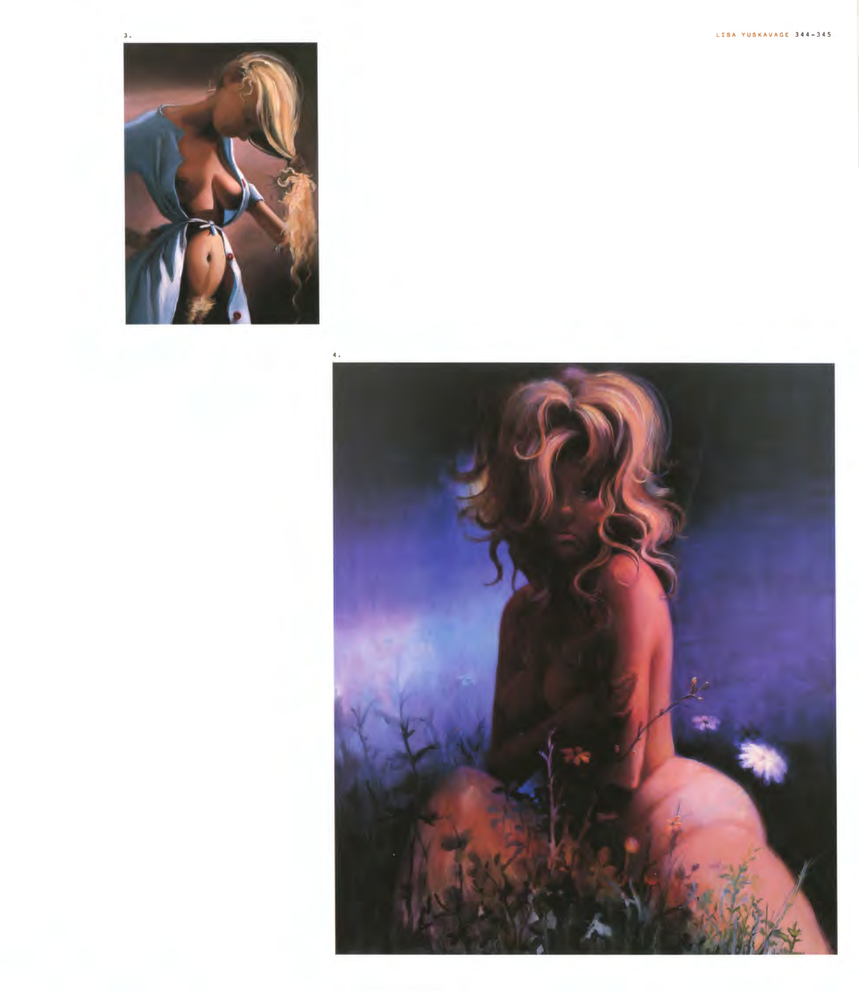

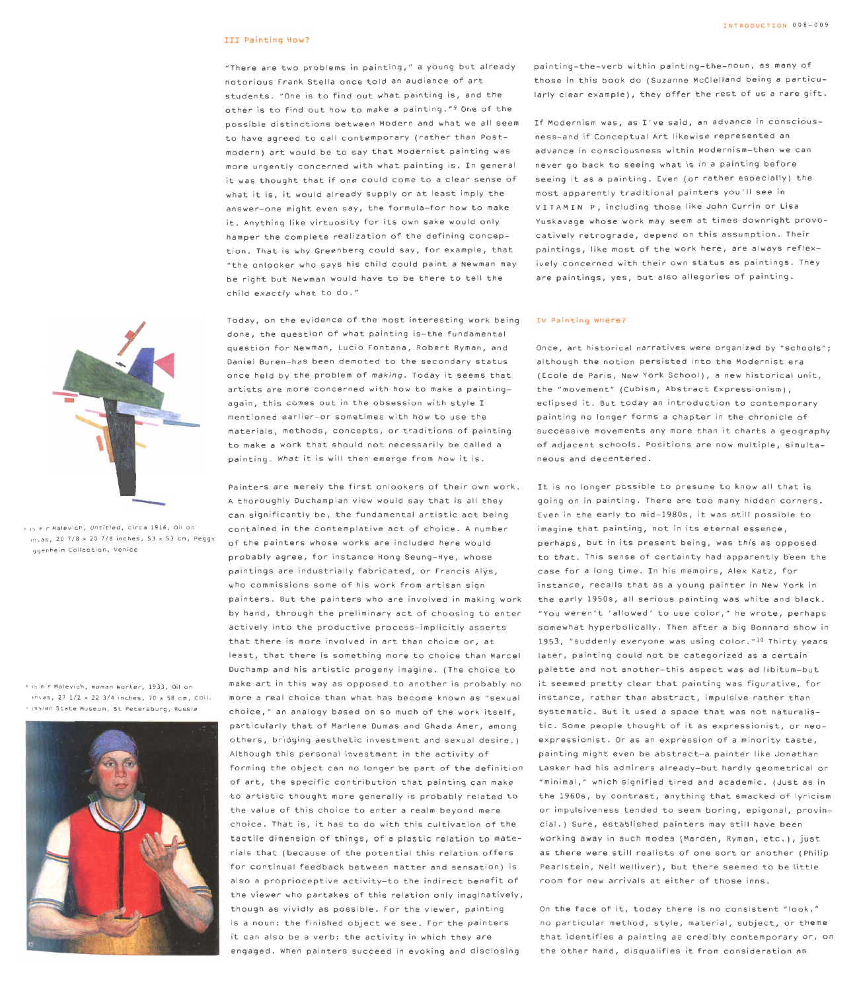## III Painting How?

" There are two problems in painting," a young but already notorious frank Stella once told an audience of art students. "One is to find out what painting is, and the other is to find out how to make a painting."<sup>9</sup> One of the possible distinctions between Modern and what we all seem to have agreed to call contemporary ( rather than Postmodern) art would be to say that Modernist painting was more urgently concerned with what painting is . In general it was thought that if one could come to a clear sense of what it is, it would already supply or at least imply the answer-one might even say, the formula-for how to make it. Anything like virtuosity for its own sake would only hamper the complete realization of the defining conception. That is why Greenberg could say, for example, that "the onlooker who says his child could paint a Newman may be right but Newman would have to be there to tell the  $chi$ child exactly what to do."

Today, on the evidence of the most interesting work being done, the question of what painting is-the fundamental **question for Newman, Lucio Fontana, Robert Ryman, and**  Daniel Buren-has been demoted to the secondary status once held by the problem of making. Today it seems that artists are more concerned with how to make a painting again, this comes out in the obsession with style I mentioned earlier-or sometimes with how to use the materials, methods, concepts, or traditions of painting to make a work that should not necessarily be called a painting. What it is will then emerge from how it is.

Painters are merely the first onlookers of their own work. A thoroughly Duchampian view would say that is all they can significantly be, the fundamental artistic act being contained in the contemplative act of choice. A number of the painters whose works are included here would probably agree, for instance Hong Seung-Hye, whose paintings are industrially fabricated, or Francis Alys, **who commissions some of his work from artisan sign**  painters. But the painters who are involved in making work by hand, through the preliminary act of choosing to enter actively into the productive process-implicitly asserts that there is more involved in art than choice or, at least, that there is something more to choice than Marcel Duchamp and his artistic progeny imagine. (The choice to make art in this way as opposed to another is probably no more a real choice than what has become known as "sexual choice," an analogy based on so much of the work itself, particularly that of Marlene Dumas and Ghada Amer, among others, bridging aesthetic investment and sexual desire.) Although this personal investment in the activity of forming the object can no longer be part of the definition of art, the specific contribution that painting can make to artistic thought more generally is probably related to the value of this choice to enter a realm beyond mere choice. That is, it has to do with this cultivation of the tactile dimension of things, of a plastic relation to materials that (because of the potential this relation offers for continual feedback between matter and sensation) is also a proprioceptive activity-to the indirect benefit of the viewer who partakes of this relation only imaginatively, though as vividly as possible. for the viewer, painting is a noun: the finished object we see. for the painters it can also be a verb: the activity in which they are engaged. When painters succeed in evoking and disclosing

painting-the-verb within painting-the-noun, as many of those in this book do (Suzanne McClelland being a particularly clear example), they offer the rest of us a rare gift.

**If Modernism was, as I've said, an advance in conscious**ness-and if Conceptual Art likewise represented an advance in consciousness within Modernism-then we can never go back to seeing what is *in* a painting before seeing it as a painting. Even (or rather especially) the most apparently traditional painters you ' II see in VITAMIN P, including those like John Currin or Lisa Yuskavage whose work may seem at times downright provocatively retrograde, depend on this assumption. Their paintings, like most of the work here, are always reflexively concerned with their own status as paintings. They are paintings, yes, but also allegories of painting.

# IV Painting Where?

**Once, art historical narratives were organized by "schools" ;**  although the notion persisted into the Modernist era ( Ecole de Paris, New York School), a new historical unit, **the " movement " (Cubism, Abstract Ex pressionism),**  eclipsed it. But today an introduction to contemporary painting no longer forms a chapter in the chronicle of successive movements any more than it charts a geography of adjacent schools. Positions are now multiple, simultaneous and decentered.

It is no longer possible to presume to know all that is going on in painting. There are too many hidden corners. Even in the early to mid-1980s, it was still possible to imagine that painting, not in its eternal essence, perhaps, but in its present being, was this as opposed to that. This sense of certainty had apparently been the case for a long time. In his memoirs, Alex Katz, for instance, recalls that as a young painter in New York in the early 1950s, all serious painting was white and black. "You weren't 'allowed' to use color," he wrote, perhaps somewhat hyperbolically. Then after a big Bennard show in 1953, "suddenly everyone was using color."<sup>10</sup> Thirty vears later, painting could not be categorized as a certain palette and not another-this aspect was ad libitum-but it seemed pretty clear that painting was figurative, for instance, rather than abstract, impulsive rather than systematic. But it used a space that was not naturalistic. Some people thought of it as expressionist, or neoe x pressionist. Or as an expression of a minority taste, painting might even be abstract-a painter like Jonathan Lasker had his admirers already - but hardly geometrical or **"minimal," which signified tired and academic. (Just as in**  the 1960s, by contrast, anything that smacked of lyricism **or impulsiveness tended to seem boring, epigonal, provin**cial.) Sure, established painters may still have been working away in such modes (Marden, Ryman, etc.), just as there were still realists of one sort or another (Philip Pearlstein, Neil Welliver), but there seemed to be little room for new arrivals at either of those inns.

On the face of it, today there is no consistent "look," no particular method, style, material, subject, or theme that identifies a painting as credibly contemporary or, on the other hand, disqualifies it from consideration as



**Kasimir Malevich, Untitled , circa 1916, O canvas, 20 7/8 x 20 7/8 inches, 53 x 53 cm, Peggy Guggenh e i m Collection, Venice** 

**Kasimi r Malev ic h, Woman Worker, 1933, Oi l on canv as, 27 1/ 2 x 22 3/ 4 i nches, 70 x 58 cm, Coll. Russian State Museum, St Petersburg, Russia**